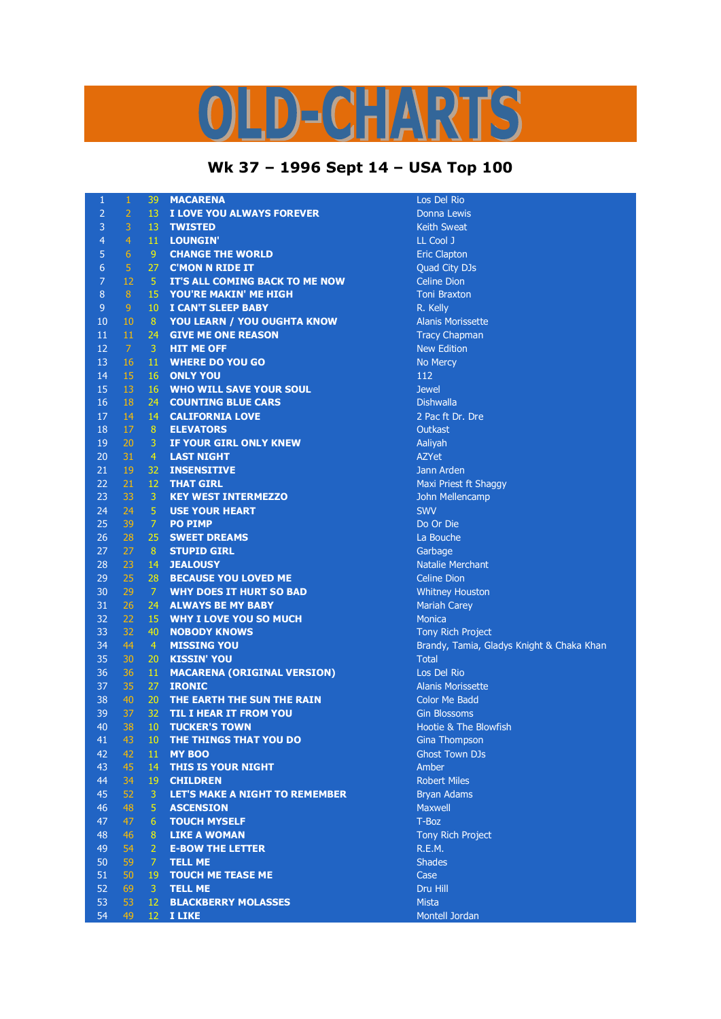## 

## **Wk 37 – 1996 Sept 14 – USA Top 100**

| 1              | $\,1$          | 39             | <b>MACARENA</b>                       | Los Del         |
|----------------|----------------|----------------|---------------------------------------|-----------------|
| $\overline{2}$ | $\overline{2}$ | 13             | I LOVE YOU ALWAYS FOREVER             | Donna           |
| $\overline{3}$ | 3              | 13             | <b>TWISTED</b>                        | Keith Sy        |
| $\overline{4}$ | $\overline{4}$ | 11             | <b>LOUNGIN'</b>                       | <b>LL Cool</b>  |
| 5              | 6              | 9 <sub>o</sub> | <b>CHANGE THE WORLD</b>               | <b>Eric Cla</b> |
| $\overline{6}$ | 5              | 27             | <b>C'MON N RIDE IT</b>                | Quad C          |
| $\overline{7}$ | 12             | 5 <sub>1</sub> | IT'S ALL COMING BACK TO ME NOW        | Celine I        |
| $\,8\,$        | 8              | 15             | YOU'RE MAKIN' ME HIGH                 | Toni Bra        |
| $\overline{9}$ | $\overline{9}$ | 10             | I CAN'T SLEEP BABY                    | R. Kelly        |
| 10             | $10\,$         | 8              | YOU LEARN / YOU OUGHTA KNOW           | Alanis N        |
| 11             | 11             | 24             | <b>GIVE ME ONE REASON</b>             | <b>Tracy C</b>  |
| 12             | $\mathcal{I}$  | 3              | <b>HIT ME OFF</b>                     | New Ed          |
| 13             | 16             | 11             | <b>WHERE DO YOU GO</b>                | No Mer          |
| 14             | 15             | 16             | <b>ONLY YOU</b>                       | 112             |
| 15             | 13             | 16             | <b>WHO WILL SAVE YOUR SOUL</b>        | <b>Jewel</b>    |
| 16             | 18             | 24             | <b>COUNTING BLUE CARS</b>             | <b>Dishwal</b>  |
| 17             | 14             | 14             | <b>CALIFORNIA LOVE</b>                | 2 Pac ft        |
| 18             | 17             | $\, 8$         | <b>ELEVATORS</b>                      | Outkast         |
| 19             | 20             | 3              | IF YOUR GIRL ONLY KNEW                | Aaliyah         |
| 20             | 31             | $\overline{4}$ | <b>LAST NIGHT</b>                     | AZYet           |
| 21             | 19             | 32             | <b>INSENSITIVE</b>                    | Jann Ar         |
| 22             | 21             | 12             | <b>THAT GIRL</b>                      | Maxi Pr         |
| 23             | 33             | $\mathbf{3}$   | <b>KEY WEST INTERMEZZO</b>            | John M          |
| 24             | 24             | $\overline{5}$ | <b>USE YOUR HEART</b>                 | <b>SWV</b>      |
| 25             | 39             | $\overline{7}$ | <b>PO PIMP</b>                        | Do Or D         |
| 26             | 28             | 25             | <b>SWEET DREAMS</b>                   | La Boud         |
| 27             | 27             | 8 <sup>°</sup> | <b>STUPID GIRL</b>                    | Garbag          |
| 28             | 23             | 14             | <b>JEALOUSY</b>                       | <b>Natalie</b>  |
| 29             | 25             | 28             | <b>BECAUSE YOU LOVED ME</b>           | Celine D        |
| 30             | 29             | $\overline{7}$ | <b>WHY DOES IT HURT SO BAD</b>        | Whitney         |
| 31             | 26             | 24             | <b>ALWAYS BE MY BABY</b>              | Mariah          |
| 32             | 22             | 15             | <b>WHY I LOVE YOU SO MUCH</b>         | <b>Monica</b>   |
| 33             | 32             | 40             | <b>NOBODY KNOWS</b>                   | <b>Tony Ri</b>  |
| 34             | 44             | $\overline{4}$ | <b>MISSING YOU</b>                    | Brandy,         |
| 35             | 30             | 20             | <b>KISSIN' YOU</b>                    | <b>Total</b>    |
| 36             | 36             | 11             | <b>MACARENA (ORIGINAL VERSION)</b>    | Los Del         |
| 37             | 35             | 27             | <b>IRONIC</b>                         | Alanis N        |
| 38             | 40             | 20             | THE EARTH THE SUN THE RAIN            | <b>Color M</b>  |
| 39             | 37             | 32             | TIL I HEAR IT FROM YOU                | Gin Blos        |
| 40             | 38             | 10             | <b>TUCKER'S TOWN</b>                  | Hootie          |
| 41             | 43             |                | 10 THE THINGS THAT YOU DO             | Gina Th         |
| 42             | 42             | 11             | <b>MY BOO</b>                         | <b>Ghost T</b>  |
| 43             | 45             | 14             | THIS IS YOUR NIGHT                    | Amber           |
| 44             | 34             | 19             | <b>CHILDREN</b>                       | Robert          |
| 45             | 52             | 3              | <b>LET'S MAKE A NIGHT TO REMEMBER</b> | Bryan A         |
| 46             | 48             | 5              | <b>ASCENSION</b>                      | Maxwel          |
| 47             | 47             | 6              | <b>TOUCH MYSELF</b>                   | T-Boz           |
| 48             | 46             | 8              | <b>LIKE A WOMAN</b>                   | <b>Tony Ri</b>  |
| 49             | 54             | $\overline{2}$ | <b>E-BOW THE LETTER</b>               | R.E.M.          |
| 50             | 59             | $\overline{7}$ | <b>TELL ME</b>                        | <b>Shades</b>   |
| 51             | 50             | 19             | <b>TOUCH ME TEASE ME</b>              | Case            |
| 52             | 69             | $\mathbf{3}$   | <b>TELL ME</b>                        | Dru Hill        |
| 53             | 53             | 12             | <b>BLACKBERRY MOLASSES</b>            | <b>Mista</b>    |
| 54             | 49             | 12             | <b>I LIKE</b>                         | Montell         |
|                |                |                |                                       |                 |

Los Del Rio **Donna Lewis Keith Sweat** LL Cool J **Eric Clapton** Quad City DJs **Celine Dion Toni Braxton** Alanis Morissette **Tracy Chapman New Edition No Mercy Dishwalla** 2 Pac ft Dr. Dre **Jann Arden Maxi Priest ft Shaggy John Mellencamp** Do Or Die La Bouche Garbage **Natalie Merchant Celine Dion Whitney Houston Mariah Carey Tony Rich Project** Brandy, Tamia, Gladys Knight & Chaka Khan **Los Del Rio** 37 35 27 **IRONIC** Alanis Morissette Color Me Badd **Gin Blossoms** Hootie & The Blowfish **Gina Thompson Ghost Town DJs Robert Miles Bryan Adams** Maxwell<br>T-Boz **Tony Rich Project** 

Montell Jordan